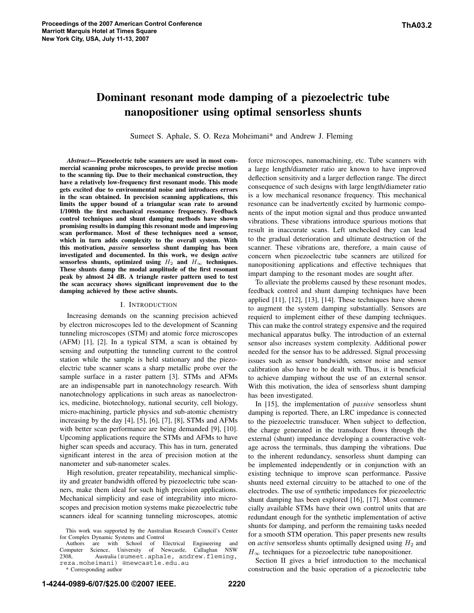# **Dominant resonant mode damping of a piezoelectric tube nanopositioner using optimal sensorless shunts**

Sumeet S. Aphale, S. O. Reza Moheimani\* and Andrew J. Fleming

*Abstract***—Piezoelectric tube scanners are used in most commercial scanning probe microscopes, to provide precise motion to the scanning tip. Due to their mechanical construction, they have a relatively low-frequency first resonant mode. This mode gets excited due to environmental noise and introduces errors in the scan obtained. In precision scanning applications, this limits the upper bound of a triangular scan rate to around 1/100th the first mechanical resonance frequency. Feedback control techniques and shunt damping methods have shown promising results in damping this resonant mode and improving scan performance. Most of these techniques need a sensor, which in turn adds complexity to the overall system. With this motivation,** *passive* **sensorless shunt damping has been investigated and documented. In this work, we design** *active* **sensorless** shunts, optimized using  $H_2$  and  $H_{\infty}$  techniques. **These shunts damp the modal amplitude of the first resonant peak by almost 24 dB. A triangle raster pattern used to test the scan accuracy shows significant improvement due to the damping achieved by these active shunts.**

#### I. INTRODUCTION

Increasing demands on the scanning precision achieved by electron microscopes led to the development of Scanning tunneling microscopes (STM) and atomic force microscopes (AFM) [1], [2]. In a typical STM, a scan is obtained by sensing and outputting the tunneling current to the control station while the sample is held stationary and the piezoelectric tube scanner scans a sharp metallic probe over the sample surface in a raster pattern [3]. STMs and AFMs are an indispensable part in nanotechnology research. With nanotechnology applications in such areas as nanoelectronics, medicine, biotechnology, national security, cell biology, micro-machining, particle physics and sub-atomic chemistry increasing by the day [4], [5], [6], [7], [8], STMs and AFMs with better scan performance are being demanded [9], [10]. Upcoming applications require the STMs and AFMs to have higher scan speeds and accuracy. This has in turn, generated significant interest in the area of precision motion at the nanometer and sub-nanometer scales.

High resolution, greater repeatability, mechanical simplicity and greater bandwidth offered by piezoelectric tube scanners, make them ideal for such high precision applications. Mechanical simplicity and ease of integrability into microscopes and precision motion systems make piezoelectric tube scanners ideal for scanning tunneling microscopes, atomic

Authors are with School of Electrical Engineering and<br>mputer Science, University of Newcastle, Callaghan NSW Computer Science, University of Newcastle, 2308, Australia(sumeet.aphale, andrew.fleming, reza.moheimani) @newcastle.edu.au

\* Corresponding author

force microscopes, nanomachining, etc. Tube scanners with a large length/diameter ratio are known to have improved deflection sensitivity and a larger deflection range. The direct consequence of such designs with large length/diameter ratio is a low mechanical resonance frequency. This mechanical resonance can be inadvertently excited by harmonic components of the input motion signal and thus produce unwanted vibrations. These vibrations introduce spurious motions that result in inaccurate scans. Left unchecked they can lead to the gradual deterioration and ultimate destruction of the scanner. These vibrations are, therefore, a main cause of concern when piezoelectric tube scanners are utilized for nanopositioning applications and effective techniques that impart damping to the resonant modes are sought after.

To alleviate the problems caused by these resonant modes, feedback control and shunt damping techniques have been applied [11], [12], [13], [14]. These techniques have shown to augment the system damping substantially. Sensors are requierd to implement either of these damping techniques. This can make the control strategy expensive and the required mechanical apparatus bulky. The introduction of an external sensor also increases system complexity. Additional power needed for the sensor has to be addressed. Signal processing issues such as sensor bandwidth, sensor noise and sensor calibration also have to be dealt with. Thus, it is beneficial to achieve damping without the use of an external sensor. With this motivation, the idea of sensorless shunt damping has been investigated.

In [15], the implementation of *passive* sensorless shunt damping is reported. There, an LRC impedance is connected to the piezoelectric transducer. When subject to deflection, the charge generated in the transducer flows through the external (shunt) impedance developing a counteractive voltage across the terminals, thus damping the vibrations. Due to the inherent redundancy, sensorless shunt damping can be implemented independently or in conjunction with an existing technique to improve scan performance. Passive shunts need external circuitry to be attached to one of the electrodes. The use of synthetic impedances for piezoelectric shunt damping has been explored [16], [17]. Most commercially available STMs have their own control units that are redundant enough for the synthetic implementation of active shunts for damping, and perform the remaining tasks needed for a smooth STM operation. This paper presents new results on *active* sensorless shunts optimally designed using  $H_2$  and  $H_{\infty}$  techniques for a piezoelectric tube nanopositioner.

Section II gives a brief introduction to the mechanical construction and the basic operation of a piezoelectric tube

This work was supported by the Australian Research Council's Center for Complex Dynamic Systems and Control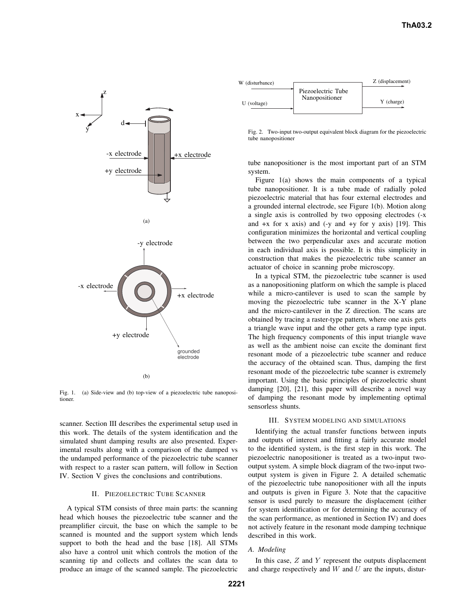

Fig. 1. (a) Side-view and (b) top-view of a piezoelectric tube nanopositioner.

scanner. Section III describes the experimental setup used in this work. The details of the system identification and the simulated shunt damping results are also presented. Experimental results along with a comparison of the damped vs the undamped performance of the piezoelectric tube scanner with respect to a raster scan pattern, will follow in Section IV. Section V gives the conclusions and contributions.

## II. PIEZOELECTRIC TUBE SCANNER

A typical STM consists of three main parts: the scanning head which houses the piezoelectric tube scanner and the preamplifier circuit, the base on which the sample to be scanned is mounted and the support system which lends support to both the head and the base [18]. All STMs also have a control unit which controls the motion of the scanning tip and collects and collates the scan data to produce an image of the scanned sample. The piezoelectric

| W (disturbance) |                                      | Z (displacement) |
|-----------------|--------------------------------------|------------------|
| (voltage)       | Piezoelectric Tube<br>Nanopositioner | Y (charge)       |

Fig. 2. Two-input two-output equivalent block diagram for the piezoelectric tube nanopositioner

tube nanopositioner is the most important part of an STM system.

Figure 1(a) shows the main components of a typical tube nanopositioner. It is a tube made of radially poled piezoelectric material that has four external electrodes and a grounded internal electrode, see Figure 1(b). Motion along a single axis is controlled by two opposing electrodes (-x and  $+x$  for x axis) and  $(-y$  and  $+y$  for y axis) [19]. This configuration minimizes the horizontal and vertical coupling between the two perpendicular axes and accurate motion in each individual axis is possible. It is this simplicity in construction that makes the piezoelectric tube scanner an actuator of choice in scanning probe microscopy.

In a typical STM, the piezoelectric tube scanner is used as a nanopositioning platform on which the sample is placed while a micro-cantilever is used to scan the sample by moving the piezoelectric tube scanner in the X-Y plane and the micro-cantilever in the Z direction. The scans are obtained by tracing a raster-type pattern, where one axis gets a triangle wave input and the other gets a ramp type input. The high frequency components of this input triangle wave as well as the ambient noise can excite the dominant first resonant mode of a piezoelectric tube scanner and reduce the accuracy of the obtained scan. Thus, damping the first resonant mode of the piezoelectric tube scanner is extremely important. Using the basic principles of piezoelectric shunt damping [20], [21], this paper will describe a novel way of damping the resonant mode by implementing optimal sensorless shunts.

#### III. SYSTEM MODELING AND SIMULATIONS

Identifying the actual transfer functions between inputs and outputs of interest and fitting a fairly accurate model to the identified system, is the first step in this work. The piezoelectric nanopositioner is treated as a two-input twooutput system. A simple block diagram of the two-input twooutput system is given in Figure 2. A detailed schematic of the piezoelectric tube nanopositioner with all the inputs and outputs is given in Figure 3. Note that the capacitive sensor is used purely to measure the displacement (either for system identification or for determining the accuracy of the scan performance, as mentioned in Section IV) and does not actively feature in the resonant mode damping technique described in this work.

## *A. Modeling*

In this case,  $Z$  and  $Y$  represent the outputs displacement and charge respectively and  $W$  and  $U$  are the inputs, distur-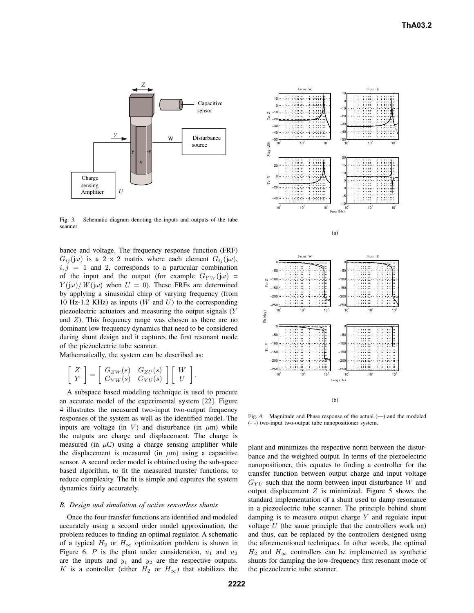

Fig. 3. Schematic diagram denoting the inputs and outputs of the tube scanner

bance and voltage. The frequency response function (FRF)  $G_{ii}(\mathbf{j}\omega)$  is a 2 × 2 matrix where each element  $G_{ii}(\mathbf{j}\omega)$ ,  $i, j = 1$  and 2, corresponds to a particular combination of the input and the output (for example  $G_{YW}(j\omega)$  =  $Y(j\omega)/W(j\omega)$  when  $U = 0$ ). These FRFs are determined by applying a sinusoidal chirp of varying frequency (from 10 Hz-1.2 KHz) as inputs ( $W$  and  $U$ ) to the corresponding piezoelectric actuators and measuring the output signals (Y and  $Z$ ). This frequency range was chosen as there are no dominant low frequency dynamics that need to be considered during shunt design and it captures the first resonant mode of the piezoelectric tube scanner.

Mathematically, the system can be described as:

$$
\left[\begin{array}{c} Z \\ Y \end{array}\right] = \left[\begin{array}{cc} G_{ZW}(s) & G_{ZU}(s) \\ G_{YW}(s) & G_{YU}(s) \end{array}\right] \left[\begin{array}{c} W \\ U \end{array}\right].
$$

A subspace based modeling technique is used to procure an accurate model of the experimental system [22]. Figure 4 illustrates the measured two-input two-output frequency responses of the system as well as the identified model. The inputs are voltage (in V) and disturbance (in  $\mu$ m) while the outputs are charge and displacement. The charge is measured (in  $\mu$ C) using a charge sensing amplifier while the displacement is measured (in  $\mu$ m) using a capacitive sensor. A second order model is obtained using the sub-space based algorithm, to fit the measured transfer functions, to reduce complexity. The fit is simple and captures the system dynamics fairly accurately.

#### *B. Design and simulation of active sensorless shunts*

Once the four transfer functions are identified and modeled accurately using a second order model approximation, the problem reduces to finding an optimal regulator. A schematic of a typical  $H_2$  or  $H_{\infty}$  optimization problem is shown in Figure 6. P is the plant under consideration,  $u_1$  and  $u_2$ are the inputs and  $y_1$  and  $y_2$  are the respective outputs. K is a controller (either  $H_2$  or  $H_{\infty}$ ) that stabilizes the



Fig. 4. Magnitude and Phase response of the actual (—) and the modeled (- -) two-input two-output tube nanopositioner system.

plant and minimizes the respective norm between the disturbance and the weighted output. In terms of the piezoelectric nanopositioner, this equates to finding a controller for the transfer function between output charge and input voltage  $G_{YII}$  such that the norm between input disturbance W and output displacement  $Z$  is minimized. Figure 5 shows the standard implementation of a shunt used to damp resonance in a piezoelectric tube scanner. The principle behind shunt damping is to measure output charge  $Y$  and regulate input voltage  $U$  (the same principle that the controllers work on) and thus, can be replaced by the controllers designed using the aforementioned techniques. In other words, the optimal  $H_2$  and  $H_{\infty}$  controllers can be implemented as synthetic shunts for damping the low-frequency first resonant mode of the piezoelectric tube scanner.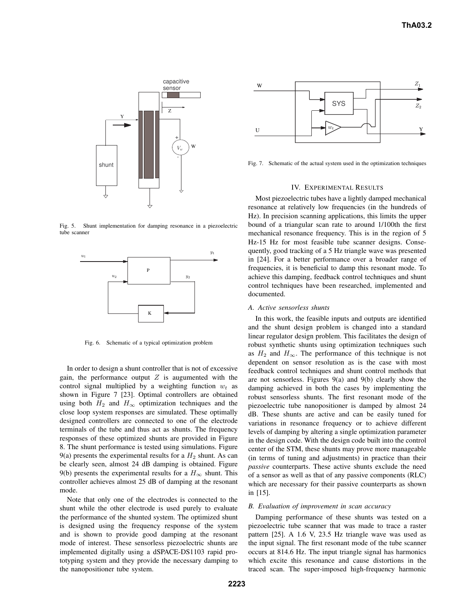

Fig. 5. Shunt implementation for damping resonance in a piezoelectric tube scanner



Fig. 6. Schematic of a typical optimization problem

In order to design a shunt controller that is not of excessive gain, the performance output  $Z$  is augumented with the control signal multiplied by a weighting function  $w_t$  as shown in Figure 7 [23]. Optimal controllers are obtained using both  $H_2$  and  $H_{\infty}$  optimization techniques and the close loop system responses are simulated. These optimally designed controllers are connected to one of the electrode terminals of the tube and thus act as shunts. The frequency responses of these optimized shunts are provided in Figure 8. The shunt performance is tested using simulations. Figure 9(a) presents the experimental results for a  $H_2$  shunt. As can be clearly seen, almost 24 dB damping is obtained. Figure 9(b) presents the experimental results for a  $H_{\infty}$  shunt. This controller achieves almost 25 dB of damping at the resonant mode.

Note that only one of the electrodes is connected to the shunt while the other electrode is used purely to evaluate the performance of the shunted system. The optimized shunt is designed using the frequency response of the system and is shown to provide good damping at the resonant mode of interest. These sensorless piezoelectric shunts are implemented digitally using a dSPACE-DS1103 rapid prototyping system and they provide the necessary damping to the nanopositioner tube system.



Fig. 7. Schematic of the actual system used in the optimization techniques

#### IV. EXPERIMENTAL RESULTS

Most piezoelectric tubes have a lightly damped mechanical resonance at relatively low frequencies (in the hundreds of Hz). In precision scanning applications, this limits the upper bound of a triangular scan rate to around 1/100th the first mechanical resonance frequency. This is in the region of 5 Hz-15 Hz for most feasible tube scanner designs. Consequently, good tracking of a 5 Hz triangle wave was presented in [24]. For a better performance over a broader range of frequencies, it is beneficial to damp this resonant mode. To achieve this damping, feedback control techniques and shunt control techniques have been researched, implemented and documented.

#### *A. Active sensorless shunts*

In this work, the feasible inputs and outputs are identified and the shunt design problem is changed into a standard linear regulator design problem. This facilitates the design of robust synthetic shunts using optimization techniques such as  $H_2$  and  $H_{\infty}$ . The performance of this technique is not dependent on sensor resolution as is the case with most feedback control techniques and shunt control methods that are not sensorless. Figures 9(a) and 9(b) clearly show the damping achieved in both the cases by implementing the robust sensorless shunts. The first resonant mode of the piezoelectric tube nanopositioner is damped by almost 24 dB. These shunts are active and can be easily tuned for variations in resonance frequency or to achieve different levels of damping by altering a single optimization parameter in the design code. With the design code built into the control center of the STM, these shunts may prove more manageable (in terms of tuning and adjustments) in practice than their *passive* counterparts. These active shunts exclude the need of a sensor as well as that of any passive components (RLC) which are necessary for their passive counterparts as shown in [15].

#### *B. Evaluation of improvement in scan accuracy*

Damping performance of these shunts was tested on a piezoelectric tube scanner that was made to trace a raster pattern [25]. A 1.6 V, 23.5 Hz triangle wave was used as the input signal. The first resonant mode of the tube scanner occurs at 814.6 Hz. The input triangle signal has harmonics which excite this resonance and cause distortions in the traced scan. The super-imposed high-frequency harmonic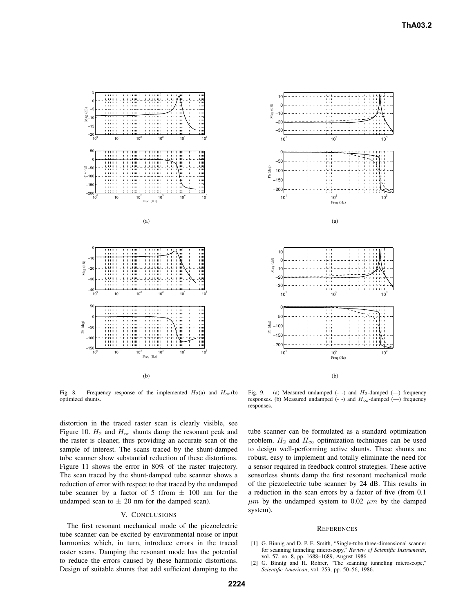

Fig. 8. Frequency response of the implemented  $H_2(a)$  and  $H_{\infty}(b)$ optimized shunts.

distortion in the traced raster scan is clearly visible, see Figure 10.  $H_2$  and  $H_{\infty}$  shunts damp the resonant peak and the raster is cleaner, thus providing an accurate scan of the sample of interest. The scans traced by the shunt-damped tube scanner show substantial reduction of these distortions. Figure 11 shows the error in 80% of the raster trajectory. The scan traced by the shunt-damped tube scanner shows a reduction of error with respect to that traced by the undamped tube scanner by a factor of 5 (from  $\pm$  100 nm for the undamped scan to  $\pm$  20 nm for the damped scan).

## V. CONCLUSIONS

The first resonant mechanical mode of the piezoelectric tube scanner can be excited by environmental noise or input harmonics which, in turn, introduce errors in the traced raster scans. Damping the resonant mode has the potential to reduce the errors caused by these harmonic distortions. Design of suitable shunts that add sufficient damping to the



Fig. 9. (a) Measured undamped  $(-)$  and  $H_2$ -damped  $(-)$  frequency responses. (b) Measured undamped  $(-)$  and  $H_{\infty}$ -damped  $(-)$  frequency responses.

tube scanner can be formulated as a standard optimization problem.  $H_2$  and  $H_{\infty}$  optimization techniques can be used to design well-performing active shunts. These shunts are robust, easy to implement and totally eliminate the need for a sensor required in feedback control strategies. These active sensorless shunts damp the first resonant mechanical mode of the piezoelectric tube scanner by 24 dB. This results in a reduction in the scan errors by a factor of five (from 0.1  $\mu$ m by the undamped system to 0.02  $\mu$ m by the damped system).

#### **REFERENCES**

- [1] G. Binnig and D. P. E. Smith, "Single-tube three-dimensional scanner for scanning tunneling microscopy," *Review of Scientific Instruments*, vol. 57, no. 8, pp. 1688–1689, August 1986.
- [2] G. Binnig and H. Rohrer, "The scanning tunneling microscope," *Scientific American*, vol. 253, pp. 50–56, 1986.